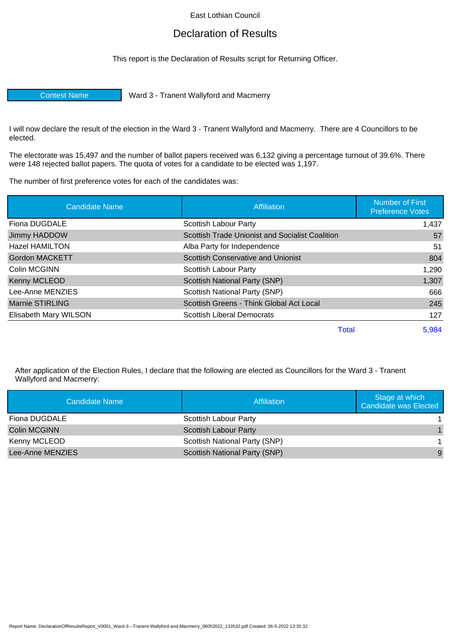## East Lothian Council

## Declaration of Results

This report is the Declaration of Results script for Returning Officer.

Contest Name Ward 3 - Tranent Wallyford and Macmerry

I will now declare the result of the election in the Ward 3 - Tranent Wallyford and Macmerry. There are 4 Councillors to be elected.

The electorate was 15,497 and the number of ballot papers received was 6,132 giving a percentage turnout of 39.6%. There were 148 rejected ballot papers. The quota of votes for a candidate to be elected was 1,197.

The number of first preference votes for each of the candidates was:

| <b>Candidate Name</b>  | Affiliation                                     | <b>Number of First</b><br><b>Preference Votes</b> |
|------------------------|-------------------------------------------------|---------------------------------------------------|
| Fiona DUGDALE          | <b>Scottish Labour Party</b>                    | 1,437                                             |
| Jimmy HADDOW           | Scottish Trade Unionist and Socialist Coalition | 57                                                |
| <b>Hazel HAMILTON</b>  | Alba Party for Independence                     | 51                                                |
| <b>Gordon MACKETT</b>  | <b>Scottish Conservative and Unionist</b>       | 804                                               |
| Colin MCGINN           | Scottish Labour Party                           | 1,290                                             |
| Kenny MCLEOD           | Scottish National Party (SNP)                   | 1,307                                             |
| Lee-Anne MENZIES       | Scottish National Party (SNP)                   | 666                                               |
| <b>Marnie STIRLING</b> | Scottish Greens - Think Global Act Local        | 245                                               |
| Elisabeth Mary WILSON  | <b>Scottish Liberal Democrats</b>               | 127                                               |
|                        | Total                                           | 5,984                                             |

After application of the Election Rules, I declare that the following are elected as Councillors for the Ward 3 - Tranent Wallyford and Macmerry:

| Candidate Name      | <b>Affiliation</b>                   | Stage at which<br><b>Candidate was Elected</b> |
|---------------------|--------------------------------------|------------------------------------------------|
| Fiona DUGDALE       | Scottish Labour Party                |                                                |
| <b>Colin MCGINN</b> | <b>Scottish Labour Party</b>         |                                                |
| Kenny MCLEOD        | Scottish National Party (SNP)        |                                                |
| Lee-Anne MENZIES    | <b>Scottish National Party (SNP)</b> | 9                                              |